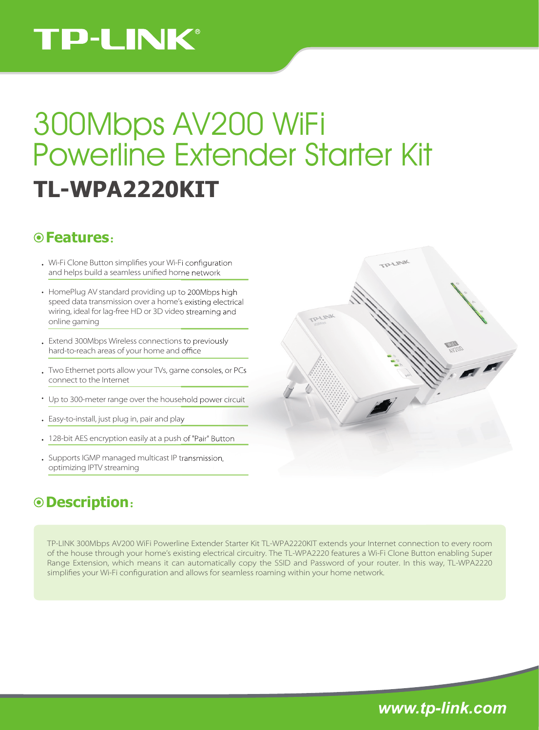# **TP-LINK®**

# **TL-WPA2220KIT** 300Mbps AV200 WiFi Powerline Extender Starter Kit

### **Features**:

- . Wi-Fi Clone Button simplifies your Wi-Fi configuration and helps build a seamless unified home network
- HomePlug AV standard providing up to 200Mbps high speed data transmission over a home's existing electrical wiring, ideal for lag-free HD or 3D video streaming and online gaming
- Extend 300Mbps Wireless connections to previously hard-to-reach areas of your home and office
- Two Ethernet ports allow your TVs, game consoles, or PCs connect to the Internet
- Up to 300-meter range over the household power circuit
- Easy-to-install, just plug in, pair and play
- 128-bit AES encryption easily at a push of "Pair" Button
- Supports IGMP managed multicast IP transmission, optimizing IPTV streaming

## **Description**:

TP-LINK 300Mbps AV200 WiFi Powerline Extender Starter Kit TL-WPA2220KIT extends your Internet connection to every room of the house through your home's existing electrical circuitry. The TL-WPA2220 features a Wi-Fi Clone Button enabling Super Range Extension, which means it can automatically copy the SSID and Password of your router. In this way, TL-WPA2220 simplifies your Wi-Fi configuration and allows for seamless roaming within your home network.



*www.tp-link.com*